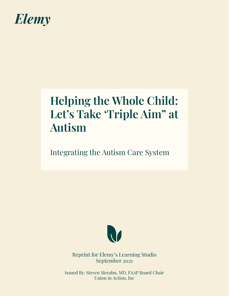

# **Helping the Whole Child: Let's Take 'Triple Aim" at Autism**

## Integrating the Autism Care System



Reprint for Elemy's Learning Studio September 2021

Issued By: Steven Merahn, MD, FAAP Board Chair Union in Action, Inc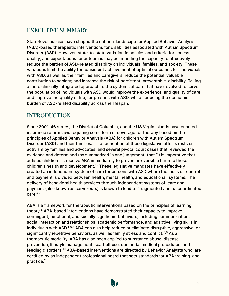## **EXECUTIVE SUMMARY**

State-level policies have shaped the national landscape for Applied Behavior Analysis ABA)-based therapeutic interventions for disabilities associated with Autism Spectrum Disorder (ASD). However, state-to-state variation in policies and criteria for access, quality, and expectations for outcomes may be impeding the capacity to effectively reduce the burden of ASD-related disability on individuals, families, and society. These variations limit the ability for consistent achievement of optimal outcomes for individuals with ASD, as well as their families and caregivers; reduce the potential valuable contribution to society; and increase the risk of persistent, preventable disability. Taking a more clinically integrated approach to the systems of care that have evolved to serve the population of individuals with ASD would improve the experience and quality of care, and improve the quality of life, for persons with ASD, while reducing the economic burden of ASD-related disability across the lifespan.

## **INTRODUCTION**

Since 2001, 46 states, the District of Columbia, and the US Virgin Islands have enacted insurance reform laws requiring some form of coverage for therapy based on the principles of Applied Behavior Analysis (ABA) for children with Autism Spectrum Disorder (ASD) and their families.<sup>1</sup> The foundation of these legislative efforts rests on activism by families and advocates, and several pivotal court cases that reviewed the evidence and determined (as summarized in one judgement) that "it is imperative that autistic children . . . receive ABA immediately to prevent irreversible harm to these children's health and development."<sup>2</sup> These legislative mandates have effectively created an independent system of care for persons with ASD where the locus of control and payment is divided between health, mental health, and educational systems. The delivery of behavioral health services through independent systems of care and payment (also known as carve-outs) is known to lead to "fragmented and uncoordinated care."3

ABA is a framework for therapeutic interventions based on the principles of learning theory.<sup>4</sup> ABA-based interventions have demonstrated their capacity to improve contingent, functional, and socially significant behaviors, including communication, social interaction and relationships, academic performance, and adaptive living skills in individuals with ASD.<sup>5,6,7</sup> ABA can also help reduce or eliminate disruptive, aggressive, or significantly repetitive behaviors, as well as family stress and conflict.<sup>8,9</sup> As a therapeutic modality, ABA has also been applied to substance abuse, disease prevention, lifestyle management, seatbelt use, dementia, medical procedures, and feeding disorders.10 ABA-based interventions are directed by Behavior Analysts who are certified by an independent professional board that sets standards for ABA training and practice.<sup>11</sup>

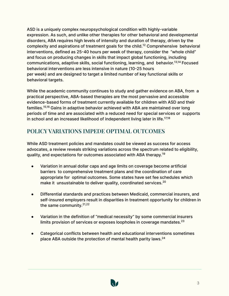ASD is a uniquely complex neuropsychological condition with highly-variable expression. As such, and unlike other therapies for other behavioral and developmental disorders, ABA requires high levels of intensity and duration of therapy, driven by the complexity and aspirations of treatment goals for the child.12 Comprehensive behavioral interventions, defined as 25-40 hours per week of therapy, consider the "whole child" and focus on producing changes in skills that impact global functioning, including communications, adaptive skills, social functioning, learning, and behavior.13,14 Focused behavioral interventions are less intensive in nature (10-25 hours per week) and are designed to target a limited number of key functional skills or behavioral targets.

While the academic community continues to study and gather evidence on ABA, from a practical perspective, ABA-based therapies are the most pervasive and accessible evidence-based forms of treatment currently available for children with ASD and their families.15,16 Gains in adaptive behavior achieved with ABA are maintained over long periods of time and are associated with a reduced need for special services or supports in school and an increased likelihood of independent living later in life.<sup>17,18</sup>

## **POLICY VARIATIONS IMPEDE OPTIMAL OUTCOMES**

While ASD treatment policies and mandates could be viewed as success for access advocates, a review reveals striking variations across the spectrum related to eligibility, quality, and expectations for outcomes associated with ABA therapy.<sup>19</sup>

- Variation in annual dollar caps and age limits on coverage become artificial barriers to comprehensive treatment plans and the coordination of care appropriate for optimal outcomes. Some states have set fee schedules which make it unsustainable to deliver quality, coordinated services.<sup>20</sup>
- Differential standards and practices between Medicaid, commercial insurers, and self-insured employers result in disparities in treatment opportunity for children in the same community. $21,22$
- Variation in the definition of "medical necessity" by some commercial insurers limits provision of services or exposes loopholes in coverage mandates. $^{23}$
- Categorical conflicts between health and educational interventions sometimes place ABA outside the protection of mental health parity laws.<sup>24</sup>

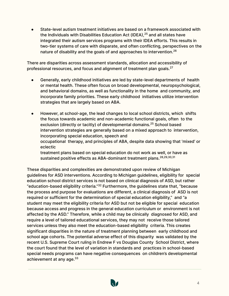State-level autism treatment initiatives are based on a framework associated with the Individuals with Disabilities Education Act (IDEA), $25$  and all states have integrated their autism services programs with their IDEA efforts. This results in two-tier systems of care with disparate, and often conflicting, perspectives on the nature of disability and the goals of and approaches to intervention.<sup>26</sup>

There are disparities across assessment standards, allocation and accessibility of professional resources, and focus and alignment of treatment plan goals.<sup>27</sup>

- Generally, early childhood initiatives are led by state-level departments of health or mental health. These often focus on broad developmental, neuropsychological, and behavioral domains, as well as functionality in the home and community, and incorporate family priorities. These early childhood initiatives utilize intervention strategies that are largely based on ABA.
- However, at school-age, the lead changes to local school districts, which shifts the focus towards academic and non-academic functional goals, often to the exclusion (directly or tacitly) of developmental domains.<sup>25</sup> School based intervention strategies are generally based on a mixed approach to intervention, incorporating special education, speech and occupational therapy, and principles of ABA, despite data showing that 'mixed' or eclectic treatment plans based on special education do not work as well, or have as sustained positive effects as ABA-dominant treatment plans.<sup>28,29,30,31</sup>

These disparities and complexities are demonstrated upon review of Michigan guidelines for ASD interventions. According to Michigan guidelines, eligibility for special education school district services is not based on clinical diagnosis of ASD, but rather "education-based eligibility criteria."32 Furthermore, the guidelines state that, "because the process and purpose for evaluations are different, a clinical diagnosis of ASD is not required or sufficient for the determination of special education eligibility," and "a student may meet the eligibility criteria for ASD but not be eligible for special education because access and progress in the general education curriculum or environment is not affected by the ASD." Therefore, while a child may be clinically diagnosed for ASD, and require a level of tailored educational services, they may not receive those tailored services unless they also meet the education-based eligibility criteria. This creates significant disparities in the nature of treatment planning between early childhood and school age cohorts. The potential adverse effect of this disparity was validated by the recent U.S. Supreme Court ruling in Endrew F vs Douglas County School District, where the court found that the level of variation in standards and practices in school-based special needs programs can have negative consequences on children's developmental achievement at any age.<sup>33</sup>

4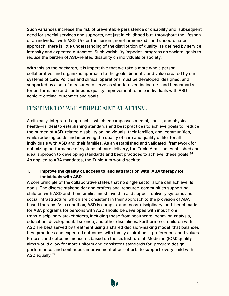Such variances increase the risk of preventable persistence of disability and subsequent need for special services and supports, not just in childhood but throughout the lifespan of an individual with ASD. Under the current, non-harmonized, and uncoordinated approach, there is little understanding of the distribution of quality as defined by service intensity and expected outcomes. Such variability impedes progress on societal goals to reduce the burden of ASD-related disability on individuals or society.

With this as the backdrop, it is imperative that we take a more whole person, collaborative, and organized approach to the goals, benefits, and value created by our systems of care. Policies and clinical operations must be developed, designed, and supported by a set of measures to serve as standardized indicators, and benchmarks for performance and continuous quality improvement to help individuals with ASD achieve optimal outcomes and goals.

## **IT'S TIME TO TAKE "TRIPLE AIM" AT AUTISM.**

A clinically-integrated approach—which encompasses mental, social, and physical health—is ideal to establishing standards and best practices to achieve goals to reduce the burden of ASD-related disability on individuals, their families, and communities, while reducing costs and improving the quality of care and quality of life for all individuals with ASD and their families. As an established and validated framework for optimizing performance of systems of care delivery, the Triple Aim is an established and ideal approach to developing standards and best practices to achieve these goals. $34$ As applied to ABA mandates, the Triple Aim would seek to:

#### **1. Improve the quality of, access to, and satisfaction with, ABA therapy for individuals with ASD.**

A core principle of the collaborative states that no single sector alone can achieve its goals. The diverse stakeholder and professional resource-communities supporting children with ASD and their families must invest in and support delivery systems and social infrastructure, which are consistent in their approach to the provision of ABA based therapy. As a condition, ASD is complex and cross-disciplinary, and benchmarks for ABA programs for persons with ASD should be developed with input from trans-disciplinary stakeholders, including those from healthcare, behavior analysis, education, developmental science, and other disciplines. Furthermore, children with ASD are best served by treatment using a shared decision-making model that balances best practices and expected outcomes with family aspirations, preferences, and values. Process and outcome measures based on the six Institute of Medicine (IOM) quality aims would allow for more uniform and consistent standards for program design, performance, and continuous improvement of our efforts to support every child with ASD equally.<sup>35</sup>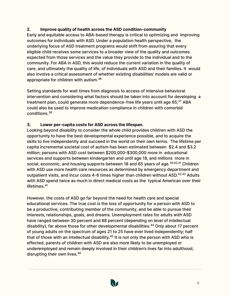#### **2. Improve quality of health across the ASD condition-community**

Early and equitable access to ABA-based therapy is critical to optimizing and improving outcomes for individuals with ASD. Under a population health perspective, the underlying focus of ASD treatment programs would shift from assuring that every eligible child receives some services to a broader view of the quality and outcomes expected from those services and the value they provide to the individual and to the community. For ABA in ASD, this would reduce the current variation in the quality of care, and ultimately the quality of life, of individuals with ASD and their families. It would also involve a critical assessment of whether existing disabilities' models are valid or appropriate for children with autism.<sup>36</sup>

Setting standards for wait times from diagnosis to access of intensive behavioral intervention and considering what factors should be taken into account for developing a treatment plan, could generate more dependence-free life years until age  $65$ ; $37$  ABA could also be used to improve medication compliance in children with comorbid conditions.<sup>38</sup>

#### **3. Lower per-capita costs for ASD across the lifespan.**

Looking beyond disability to consider the whole child provides children with ASD the opportunity to have the best developmental experience possible, and to acquire the skills to live independently and succeed in the world on their own terms. The lifetime per capita incremental societal cost of autism has been estimated between \$2.4 and \$3.2 million; persons with ASD cost between \$200,000-\$300,000 more in educational services and supports between kindergarten and until age 18, and millions more in social, economic, and housing supports between 18 and 65 years of age.<sup>39,40,41</sup> Children with ASD use more health care resources as determined by emergency department and outpatient visits, and incur costs  $4-6$  times higher than children without ASD. $42,43$  Adults with ASD spend twice as much in direct medical costs as the typical American over their lifetimes.<sup>41</sup>

However, the costs of ASD go far beyond the need for health care and special educational services. The true cost is the loss of opportunity for a person with ASD to be a productive, contributing member of the community, and be able to pursue their interests, relationships, goals, and dreams. Unemployment rates for adults with ASD have ranged between 30 percent and 88 percent (depending on level of intellectual disability), far above those for other developmental disabilities.<sup>44</sup> Only about 17 percent of young adults on the spectrum of ages 21 to 25 have ever lived independently; half that of those with an intellectual disability. $45$  It is not only the person with ASD who is effected, parents of children with ASD are also more likely to be unemployed or underemployed and remain deeply involved in their children's lives far into adulthood, disrupting their own lives.<sup>46</sup>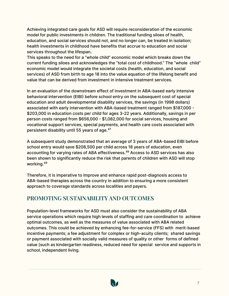Achieving integrated care goals for ASD will require reconsideration of the economic model for public investments in children. The traditional funding siloes of health, education, and social services should not, and no longer can, be treated in isolation; health investments in childhood have benefits that accrue to education and social services throughout the lifespan.

This speaks to the need for a "whole child" economic model which breaks down the current funding siloes and acknowledges the "total cost of childhood." The "whole child" economic model would integrate the societal costs (health, education, and social services) of ASD from birth to age 18 into the value equation of the lifelong benefit and value that can be derived from investment in intensive treatment services.

In an evaluation of the downstream effect of investment in ABA-based early intensive behavioral intervention (EIBI) before school entry on the subsequent cost of special education and adult developmental disability services, the savings (in 1998 dollars) associated with early intervention with ABA-based treatment ranged from \$187,000 \$203,000 in education costs per child for ages 3-22 years. Additionally, savings in per person costs ranged from \$656,000 - \$1,082,000 for social services, housing and vocational support services, special payments, and health care costs associated with persistent disability until 55 years of age.<sup>47</sup>

A subsequent study demonstrated that an average of 3 years of ABA-based EIBI before school entry would save \$208,500 per child across 18 years of education, even accounting for varying rates of ABA effectiveness.<sup>48</sup> Access to ASD services has also been shown to significantly reduce the risk that parents of children with ASD will stop working.49

Therefore, it is imperative to improve and enhance rapid post-diagnosis access to ABA-based therapies across the country in addition to ensuring a more consistent approach to coverage standards across localities and payers.

## **PROMOTING SUSTAINABILITY AND OUTCOMES**

Population-level frameworks for ASD must also consider the sustainability of ABA service operations which require high levels of staffing and care coordination to achieve optimal outcomes, as well as the measures of value associated with ABA related outcomes. This could be achieved by enhancing fee-for-service (FFS) with merit-based incentive payments; a fee adjustment for complex or high-acuity clients; shared savings or payment associated with socially valid measures of quality or other forms of defined value (such as kindergarten readiness, reduced need for special service and supports in school, independent living.

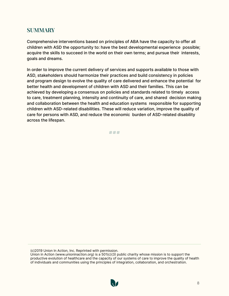## **SUMMARY**

Comprehensive interventions based on principles of ABA have the capacity to offer all children with ASD the opportunity to: have the best developmental experience possible; acquire the skills to succeed in the world on their own terms; and pursue their interests, goals and dreams.

In order to improve the current delivery of services and supports available to those with ASD, stakeholders should harmonize their practices and build consistency in policies and program design to evolve the quality of care delivered and enhance the potential for better health and development of children with ASD and their families. This can be achieved by developing a consensus on policies and standards related to timely access to care, treatment planning, intensity and continuity of care, and shared decision making and collaboration between the health and education systems responsible for supporting children with ASD-related disabilities. These will reduce variation, improve the quality of care for persons with ASD, and reduce the economic burden of ASD-related disability across the lifespan.

###

(c)2019 Union In Action, Inc. Reprinted with permission.

Union in Action [\(www.unioninaction.org\)](http://www.unioninaction.org/) is a 501(c)(3 public charity whose mission is to support the productive evolution of healthcare and the capacity of our systems of care to improve the quality of health of individuals and communities using the principles of integration, collaboration, and orchestration.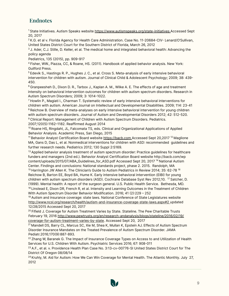## **Endnotes**

<sup>1</sup> State Initiatives. Autism Speaks website https://www.autismspeaks.org/state-initiatives Accessed Sept 20, 2017

<sup>2</sup> K.G. et al v. Florida Agency for Health Care Administration. Case No. 11-20684-CIV- Lenard/O'Sullivan, United States District Court for the Southern District of Florida, March 26, 2012

 $3$  J. Ader, C.J. Stille, D. Keller, et al. The medical home and integrated behavioral health: Advancing the policy agenda

Pediatrics, 135 (2015), pp. 909-917

<sup>4</sup> Fisher, WW., Piazza, CC, & Roane, HS. (2011). Handbook of applied behavior analysis. New York: Guilford Press.

<sup>5</sup> Edevik S., Hastings R. P., Hughes J. C., et al. Cross S. Meta-analysis of early intensive behavioral intervention for children with autism. Journal of Clinical Child & Adolescent Psychology; 2009; 38: 439-450.

 $6$  Granpeesheh D., Dixon D. R., Tarbox J., Kaplan A. M., Wilke A. E. The effects of age and treatment intensity on behavioral intervention outcomes for children with autism spectrum disorders. Research in Autism Spectrum Disorders; 2009; 3: 1014-1022.

 $<sup>7</sup>$  Howlin P., Magiati I., Charman T. Systematic review of early intensive behavioral interventions for</sup> children with autism. American Journal on Intellectual and Developmental Disabilities. 2009; 114: 23-41 <sup>8</sup> Reichow B. Overview of meta-analyses on early intensive behavioral intervention for young children with autism spectrum disorders. Journal of Autism and Developmental Disorders 2012; 42: 512-520. <sup>9</sup> Clinical Report: Management of Children with Autism Spectrum Disorders. Pediatrics.

2007;120(5):1162-1182. Reaffirmed August 2014

<sup>10</sup> Roane HS, Ringdahl, JL, Falcomata TS, eds. Clinical and Organizational Applications of Applied Behavior Analysis. Academic Press, San Diego, 2015

<sup>11</sup> Behavior Analyst Certification Board website https://bacb.com Accessed Sept 20,2017<sup>12</sup> Maglione MA, Gans D, Das L, et al. Nonmedical interventions for children with ASD: recommended guidelines and further research needs. Pediatrics 2012; 130 Suppl 2:S169.

<sup>13</sup> Applied behavior analysis treatment of autism spectrum disorder: Practice quidelines for healthcare funders and managers (2nd ed.). Behavior Analyst Certification Board website http://bacb.com/wp content/uploads/2015/07/ABA\_Guidelines\_for\_ASD.pdf Accessed Sept 20, 2017<sup>14</sup> National Autism Center. Findings and conclusions: National standards project, phase 2. 2015. Randolph, MA

<sup>15</sup> Harrington JW Allen K. The Clinician's Guide to Autism Pediatrics in Review 2014; 35: 62-78<sup>16</sup> Reichow B, Barton EE, Boyd BA, Hume K. Early intensive behavioral intervention (EIBI) for young children with autism spectrum disorders (ASD. Cochrane Database Syst Rev 2012;10. <sup>17</sup>Satcher, D. 1999. Mental health: A report of the surgeon general. U.S. Public Health Service. Bethesda, MD.

 $18$  Linstead E, Dixon DR, French R, et al. Intensity and Learning Outcomes in the Treatment of Children With Autism Spectrum Disorder Behavior Modification. 2016; 41 (2):229 - 252

 $19$  Autism and insurance coverage: state laws. National Conference of State Legislatures website http://www.ncsl.org/research/health/autism-and-insurance-coverage-state-laws.aspx#2 updated 12/28/2015 Accessed Sept 20, 2017

 $20$  Fifield J. Coverage for Autism Treatment Varies by State. Stateline. The Pew Charitable Trusts February 19, 2016<http://www.pewtrusts.org/en/research-andanalysis/blogs/stateline/2016/02/19/> coverage-for-autism-treatment-varies-by-state. Accessed Sept 20, 2017

<sup>21</sup> Mandell DS, Barry CL, Marcus SC, Xie M, Shea K, Mullan K, Epstein AJ. Effects of Autism Spectrum Disorder Insurance Mandates on the Treated Prevalence of Autism Spectrum Disorder. JAMA Pediatr.2016;170(9):887-893.

 $22$  Zhang W, Baranek G. The Impact of Insurance Coverage Types on Access to and Utilization of Health Services for U.S. Children With Autism. Psychiatric Services 2016; 67: 908-011

 $^{23}$  A.F., et al. v. Providence Health Plan Case No. 3:13-cv-00776-SI United States District Court for The District Of Oregon 08/08/14

 $24$  Kruhly, M. Aid for Autism: How We Can Win Coverage for Mental Health. The Atlantic Monthly. July 27, 2012

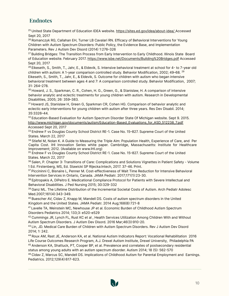## **Endnotes**

<sup>25</sup> United State Department of Education IDEA website. https://sites.ed.gov/idea/about-idea/ Accessed Sept 20, 2017

<sup>26</sup> Romanczyk RG, Callahan EH, Turner LB Cavalari RN. Efficacy of Behavioral Interventions for Young Children with Autism Spectrum Disorders: Public Policy, the Evidence Base, and Implementation Parameters. Rev J Autism Dev Disord (2014) 1:276-326

<sup>27</sup> Building Bridges: The Transition Process from Early Intervention to Early Childhood. Illinois State Board of Education website. February 2017. https://www.isbe.net/Documents/Building%20Bridges.pdf Accessed Sept 20, 2017

 $^{28}$  Eikeseth, S., Smith, T., Jahr, E., & Eldevik, S. Intensive behavioral treatment at school for 4- to 7-year old children with autism: A 1-year comparison controlled study. Behavior Modification, 2002; 49-68. <sup>29</sup> Eikeseth, S., Smith, T., Jahr, E., & Eldevik, S. Outcome for children with autism who began intensive behavioral treatment between ages 4 and 7: A comparison controlled study. Behavior Modification, 2007; 31: 264-278.

<sup>30</sup> Howard, J. S., Sparkman, C. R., Cohen, H. G., Green, G., & Stanislaw, H. A comparison of intensive behavior analytic and eclectic treatments for young children with autism. Research in Developmental Disabilities, 2005; 26: 359-383.

<sup>31</sup> Howard JS, Stanislaw H, Green G, Sparkman CR, Cohen HG. Comparison of behavior analytic and eclectic early interventions for young children with autism after three years. Res Dev Disabil. 2014; 35:3326-44.

<sup>32</sup> Education-Based Evaluation for Autism Spectrum Disorder State Of Michigan website. Sept 9. 2015. http://www.michigan.gov/documents/autism/Education-Based\_Evaluations\_for\_ASD\_512238\_7.pdf Accessed Sept 20, 2017

33 Endrew F vs Douglas County School District RE-1. Case No. 15-827. Supreme Court of the United States. March 22, 2017

34 Stiefel M, Nolan K. A Guide to Measuring the Triple Aim: Population Health, Experience of Care, and Per Capita Cost. IHI Innovation Series white paper. Cambridge, Massachusetts: Institute for Healthcare Improvement; 2012. (Available on www.IHI.org)

 $35$  Endrew F vs Douglas County School District RE-1. Case No. 15-827. Supreme Court of the United States. March 22, 2017

36 Salen, P. Chapter 3: Transitions of Care: Complications and Solutions Vignettes in Patient Safety - Volume 1 Ed. Firstenberg, MS, Ed. Stawicki SP Rijecka: Intech, 2017. 37-46. Print.

<sup>37</sup> Piccininni C, Bisnaire L, Penner M. Cost-effectiveness of Wait Time Reduction for Intensive Behavioral Intervention Services in Ontario, Canada. JAMA Pediatr. 2017;171(1):23-30.

<sup>38</sup> Epitropakis A, DiPeitro E. Medicational Compliance Protocol for Patients with Severe Intellectual and Behavioral Disabilities. J Ped Nursing 2015; 30:329-332

<sup>39</sup> Ganz ML. The Lifetime Distribution of the Incremental Societal Costs of Autism. Arch Pediatr Adolesc Med.2007;161(4):343-349.

<sup>40</sup> Buescher AV, Cidav Z, Knapp M, Mandell DS. Costs of autism spectrum disorders in the United Kingdom and the United States. JAMA Pediatr. 2014 Aug;168(8):721-8

41 Lavelle TA, Weinstein MC, Newhouse JP et al. Economic Burden of Childhood Autism Spectrum Disorders Pediatrics 2014; 133;3: e520-e529

 $42$  Cummings JR, Lynch FL, Rust KC et al, Health Services Utilization Among Children With and Without Autism Spectrum Disorders. J Autism Dev Disord. 2016 Mar;46(3):910-20.

<sup>43</sup> Lin, JD. Medical Care Burden of Children with Autism Spectrum Disorders. Rev J Autism Dev Disord 2014; 1: 242.

44 Roux AM, Rast JE, Anderson KA, et al. National Autism Indicators Report: Vocational Rehabilitation 2016 Life Course Outcomes Research Program, A.J. Drexel Autism Institute, Drexel University, Philadelphia PA 45 Anderson KA, Shattuck, PT, Cooper BP, et al. Prevalence and correlates of postsecondary residential status among young adults with an autism spectrum disorder. Autism 2014; 18 (5): 562-570

46 Cidav Z, Marcus SC, Mandell DS. Implications of Childhood Autism for Parental Employment and Earnings. Pediatrics. 2012;129(4):617-623.